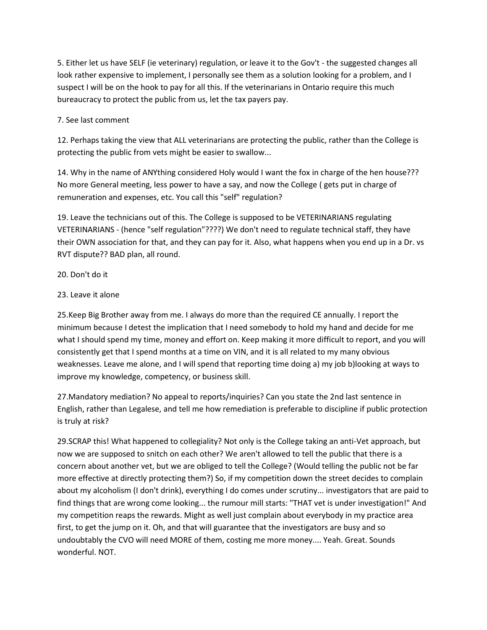5. Either let us have SELF (ie veterinary) regulation, or leave it to the Gov't - the suggested changes all look rather expensive to implement, I personally see them as a solution looking for a problem, and I suspect I will be on the hook to pay for all this. If the veterinarians in Ontario require this much bureaucracy to protect the public from us, let the tax payers pay.

## 7. See last comment

12. Perhaps taking the view that ALL veterinarians are protecting the public, rather than the College is protecting the public from vets might be easier to swallow...

14. Why in the name of ANYthing considered Holy would I want the fox in charge of the hen house??? No more General meeting, less power to have a say, and now the College ( gets put in charge of remuneration and expenses, etc. You call this "self" regulation?

19. Leave the technicians out of this. The College is supposed to be VETERINARIANS regulating VETERINARIANS - (hence "self regulation"????) We don't need to regulate technical staff, they have their OWN association for that, and they can pay for it. Also, what happens when you end up in a Dr. vs RVT dispute?? BAD plan, all round.

## 20. Don't do it

## 23. Leave it alone

25.Keep Big Brother away from me. I always do more than the required CE annually. I report the minimum because I detest the implication that I need somebody to hold my hand and decide for me what I should spend my time, money and effort on. Keep making it more difficult to report, and you will consistently get that I spend months at a time on VIN, and it is all related to my many obvious weaknesses. Leave me alone, and I will spend that reporting time doing a) my job b)looking at ways to improve my knowledge, competency, or business skill.

27.Mandatory mediation? No appeal to reports/inquiries? Can you state the 2nd last sentence in English, rather than Legalese, and tell me how remediation is preferable to discipline if public protection is truly at risk?

29.SCRAP this! What happened to collegiality? Not only is the College taking an anti-Vet approach, but now we are supposed to snitch on each other? We aren't allowed to tell the public that there is a concern about another vet, but we are obliged to tell the College? (Would telling the public not be far more effective at directly protecting them?) So, if my competition down the street decides to complain about my alcoholism (I don't drink), everything I do comes under scrutiny... investigators that are paid to find things that are wrong come looking... the rumour mill starts: "THAT vet is under investigation!" And my competition reaps the rewards. Might as well just complain about everybody in my practice area first, to get the jump on it. Oh, and that will guarantee that the investigators are busy and so undoubtably the CVO will need MORE of them, costing me more money.... Yeah. Great. Sounds wonderful. NOT.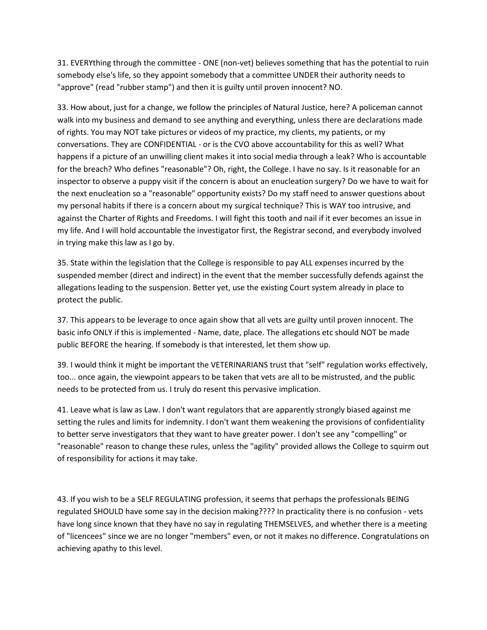31. EVERYthing through the committee - ONE (non-vet) believes something that has the potential to ruin somebody else's life, so they appoint somebody that a committee UNDER their authority needs to "approve" (read "rubber stamp") and then it is guilty until proven innocent? NO.

33. How about, just for a change, we follow the principles of Natural Justice, here? A policeman cannot walk into my business and demand to see anything and everything, unless there are declarations made of rights. You may NOT take pictures or videos of my practice, my clients, my patients, or my conversations. They are CONFIDENTIAL - or is the CVO above accountability for this as well? What happens if a picture of an unwilling client makes it into social media through a leak? Who is accountable for the breach? Who defines "reasonable"? Oh, right, the College. I have no say. Is it reasonable for an inspector to observe a puppy visit if the concern is about an enucleation surgery? Do we have to wait for the next enucleation so a "reasonable" opportunity exists? Do my staff need to answer questions about my personal habits if there is a concern about my surgical technique? This is WAY too intrusive, and against the Charter of Rights and Freedoms. I will fight this tooth and nail if it ever becomes an issue in my life. And I will hold accountable the investigator first, the Registrar second, and everybody involved in trying make this law as I go by.

35. State within the legislation that the College is responsible to pay ALL expenses incurred by the suspended member (direct and indirect) in the event that the member successfully defends against the allegations leading to the suspension. Better yet, use the existing Court system already in place to protect the public.

37. This appears to be leverage to once again show that all vets are guilty until proven innocent. The basic info ONLY if this is implemented - Name, date, place. The allegations etc should NOT be made public BEFORE the hearing. If somebody is that interested, let them show up.

39. I would think it might be important the VETERINARIANS trust that "self" regulation works effectively, too... once again, the viewpoint appears to be taken that vets are all to be mistrusted, and the public needs to be protected from us. I truly do resent this pervasive implication.

41. Leave what is law as Law. I don't want regulators that are apparently strongly biased against me setting the rules and limits for indemnity. I don't want them weakening the provisions of confidentiality to better serve investigators that they want to have greater power. I don't see any "compelling" or "reasonable" reason to change these rules, unless the "agility" provided allows the College to squirm out of responsibility for actions it may take.

43. If you wish to be a SELF REGULATING profession, it seems that perhaps the professionals BEING regulated SHOULD have some say in the decision making???? In practicality there is no confusion - vets have long since known that they have no say in regulating THEMSELVES, and whether there is a meeting of "licencees" since we are no longer "members" even, or not it makes no difference. Congratulations on achieving apathy to this level.